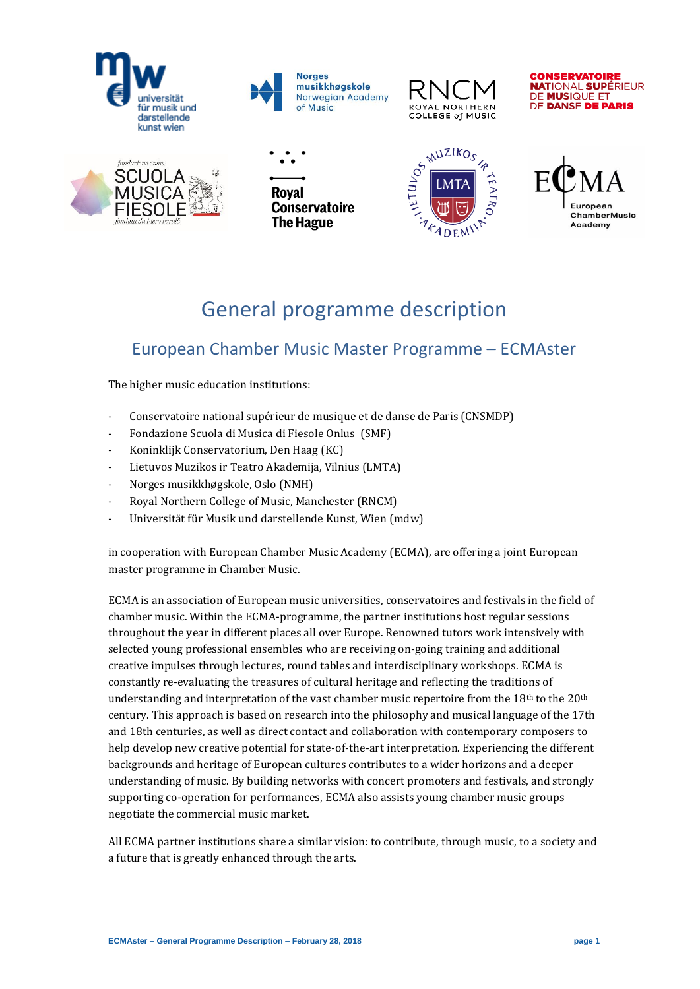





**CONSERVATOIRE NATIONAL SUPÉRIEUR** DE MUSIQUE ET **DE DANSE DE PARIS** 









# General programme description

# European Chamber Music Master Programme – ECMAster

The higher music education institutions:

- Conservatoire national supérieur de musique et de danse de Paris (CNSMDP)
- Fondazione Scuola di Musica di Fiesole Onlus (SMF)
- Koninklijk Conservatorium, Den Haag (KC)
- Lietuvos Muzikos ir Teatro Akademija, Vilnius (LMTA)
- Norges musikkhøgskole, Oslo (NMH)
- Royal Northern College of Music, Manchester (RNCM)
- Universität für Musik und darstellende Kunst, Wien (mdw)

in cooperation with European Chamber Music Academy (ECMA), are offering a joint European master programme in Chamber Music.

ECMA is an association of European music universities, conservatoires and festivals in the field of chamber music. Within the ECMA-programme, the partner institutions host regular sessions throughout the year in different places all over Europe. Renowned tutors work intensively with selected young professional ensembles who are receiving on-going training and additional creative impulses through lectures, round tables and interdisciplinary workshops. ECMA is constantly re-evaluating the treasures of cultural heritage and reflecting the traditions of understanding and interpretation of the vast chamber music repertoire from the  $18<sup>th</sup>$  to the  $20<sup>th</sup>$ century. This approach is based on research into the philosophy and musical language of the 17th and 18th centuries, as well as direct contact and collaboration with contemporary composers to help develop new creative potential for state-of-the-art interpretation. Experiencing the different backgrounds and heritage of European cultures contributes to a wider horizons and a deeper understanding of music. By building networks with concert promoters and festivals, and strongly supporting co-operation for performances, ECMA also assists young chamber music groups negotiate the commercial music market.

All ECMA partner institutions share a similar vision: to contribute, through music, to a society and a future that is greatly enhanced through the arts.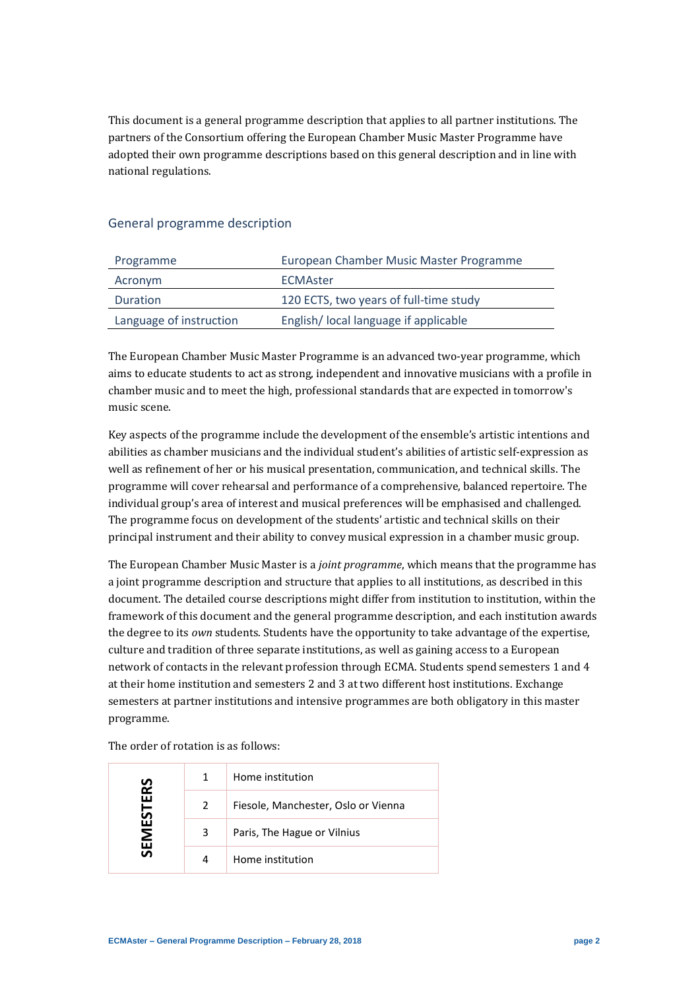This document is a general programme description that applies to all partner institutions. The partners of the Consortium offering the European Chamber Music Master Programme have adopted their own programme descriptions based on this general description and in line with national regulations.

# General programme description

| Programme               | European Chamber Music Master Programme |
|-------------------------|-----------------------------------------|
| Acronym                 | ECMAster                                |
| <b>Duration</b>         | 120 ECTS, two years of full-time study  |
| Language of instruction | English/ local language if applicable   |

The European Chamber Music Master Programme is an advanced two-year programme, which aims to educate students to act as strong, independent and innovative musicians with a profile in chamber music and to meet the high, professional standards that are expected in tomorrow's music scene.

Key aspects of the programme include the development of the ensemble's artistic intentions and abilities as chamber musicians and the individual student's abilities of artistic self-expression as well as refinement of her or his musical presentation, communication, and technical skills. The programme will cover rehearsal and performance of a comprehensive, balanced repertoire. The individual group's area of interest and musical preferences will be emphasised and challenged. The programme focus on development of the students' artistic and technical skills on their principal instrument and their ability to convey musical expression in a chamber music group.

The European Chamber Music Master is a *joint programme*, which means that the programme has a joint programme description and structure that applies to all institutions, as described in this document. The detailed course descriptions might differ from institution to institution, within the framework of this document and the general programme description, and each institution awards the degree to its *own* students. Students have the opportunity to take advantage of the expertise, culture and tradition of three separate institutions, as well as gaining access to a European network of contacts in the relevant profession through ECMA. Students spend semesters 1 and 4 at their home institution and semesters 2 and 3 at two different host institutions. Exchange semesters at partner institutions and intensive programmes are both obligatory in this master programme.

The order of rotation is as follows:

| <b>SEMESTERS</b> | 1 | Home institution                    |
|------------------|---|-------------------------------------|
|                  | 2 | Fiesole, Manchester, Oslo or Vienna |
|                  | 3 | Paris, The Hague or Vilnius         |
|                  | 4 | Home institution                    |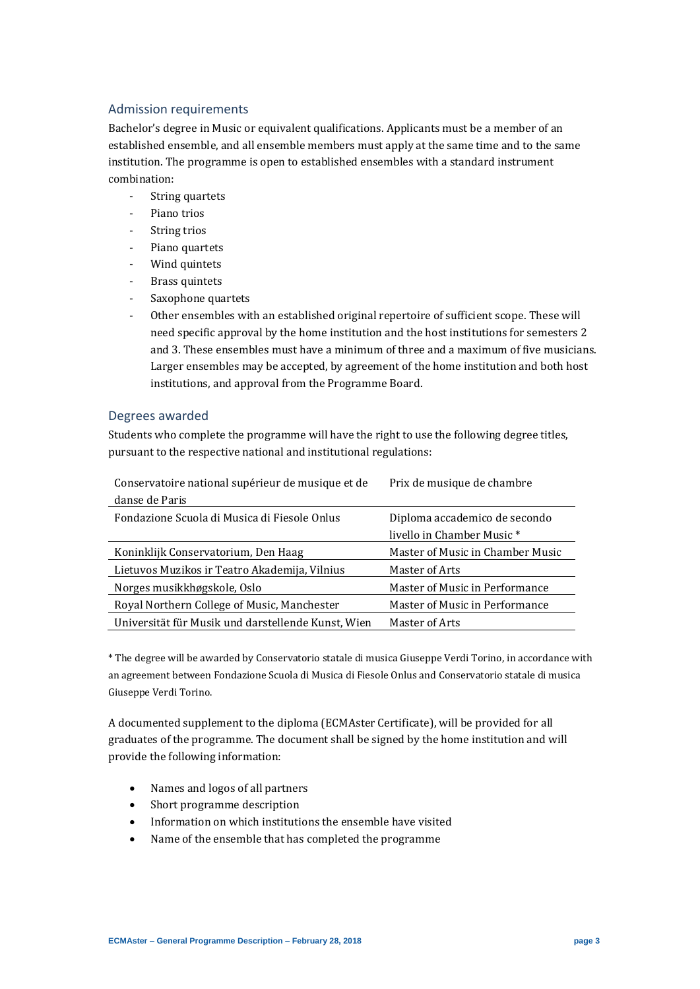# Admission requirements

Bachelor's degree in Music or equivalent qualifications. Applicants must be a member of an established ensemble, and all ensemble members must apply at the same time and to the same institution. The programme is open to established ensembles with a standard instrument combination:

- String quartets
- Piano trios
- String trios
- Piano quartets
- Wind quintets
- Brass quintets
- Saxophone quartets
- Other ensembles with an established original repertoire of sufficient scope. These will need specific approval by the home institution and the host institutions for semesters 2 and 3. These ensembles must have a minimum of three and a maximum of five musicians. Larger ensembles may be accepted, by agreement of the home institution and both host institutions, and approval from the Programme Board.

### Degrees awarded

Students who complete the programme will have the right to use the following degree titles, pursuant to the respective national and institutional regulations:

| Conservatoire national supérieur de musique et de  | Prix de musique de chambre       |  |  |
|----------------------------------------------------|----------------------------------|--|--|
| danse de Paris                                     |                                  |  |  |
| Fondazione Scuola di Musica di Fiesole Onlus       | Diploma accademico de secondo    |  |  |
|                                                    | livello in Chamber Music *       |  |  |
| Koninklijk Conservatorium, Den Haag                | Master of Music in Chamber Music |  |  |
| Lietuvos Muzikos ir Teatro Akademija, Vilnius      | Master of Arts                   |  |  |
| Norges musikkhøgskole, Oslo                        | Master of Music in Performance   |  |  |
| Royal Northern College of Music, Manchester        | Master of Music in Performance   |  |  |
| Universität für Musik und darstellende Kunst, Wien | Master of Arts                   |  |  |

\* The degree will be awarded by Conservatorio statale di musica Giuseppe Verdi Torino, in accordance with an agreement between Fondazione Scuola di Musica di Fiesole Onlus and Conservatorio statale di musica Giuseppe Verdi Torino.

A documented supplement to the diploma (ECMAster Certificate), will be provided for all graduates of the programme. The document shall be signed by the home institution and will provide the following information:

- Names and logos of all partners
- Short programme description
- Information on which institutions the ensemble have visited
- Name of the ensemble that has completed the programme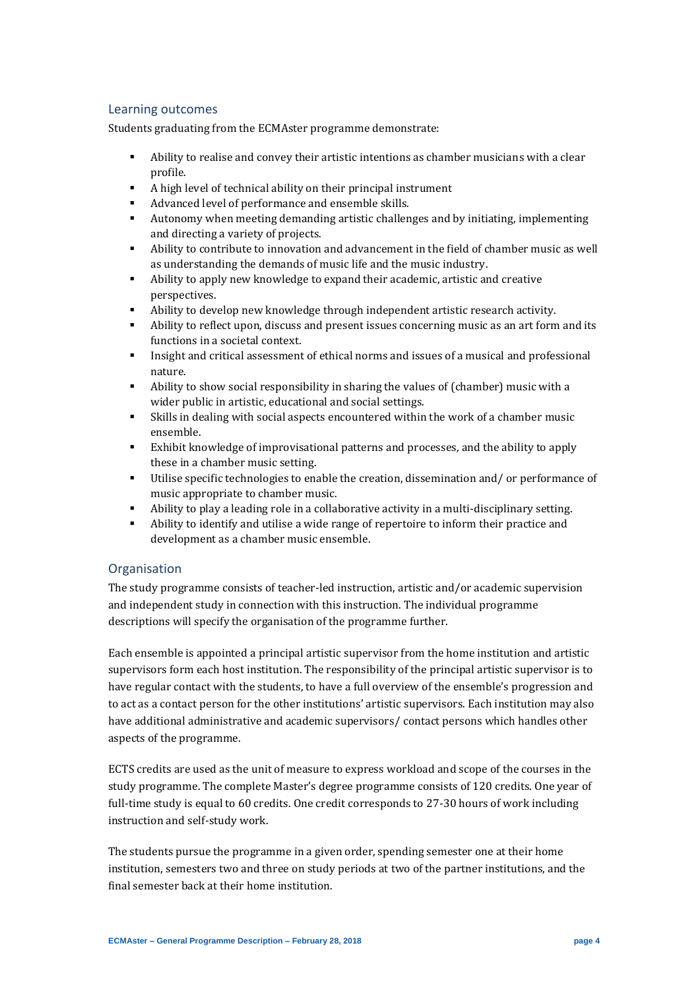# Learning outcomes

Students graduating from the ECMAster programme demonstrate:

- Ability to realise and convey their artistic intentions as chamber musicians with a clear profile.
- A high level of technical ability on their principal instrument
- Advanced level of performance and ensemble skills.
- Autonomy when meeting demanding artistic challenges and by initiating, implementing and directing a variety of projects.
- Ability to contribute to innovation and advancement in the field of chamber music as well as understanding the demands of music life and the music industry.
- Ability to apply new knowledge to expand their academic, artistic and creative perspectives.
- Ability to develop new knowledge through independent artistic research activity.
- Ability to reflect upon, discuss and present issues concerning music as an art form and its functions in a societal context.
- Insight and critical assessment of ethical norms and issues of a musical and professional nature.
- Ability to show social responsibility in sharing the values of (chamber) music with a wider public in artistic, educational and social settings.
- Skills in dealing with social aspects encountered within the work of a chamber music ensemble.
- Exhibit knowledge of improvisational patterns and processes, and the ability to apply these in a chamber music setting.
- Utilise specific technologies to enable the creation, dissemination and/ or performance of music appropriate to chamber music.
- Ability to play a leading role in a collaborative activity in a multi-disciplinary setting.
- Ability to identify and utilise a wide range of repertoire to inform their practice and development as a chamber music ensemble.

# **Organisation**

The study programme consists of teacher-led instruction, artistic and/or academic supervision and independent study in connection with this instruction. The individual programme descriptions will specify the organisation of the programme further.

Each ensemble is appointed a principal artistic supervisor from the home institution and artistic supervisors form each host institution. The responsibility of the principal artistic supervisor is to have regular contact with the students, to have a full overview of the ensemble's progression and to act as a contact person for the other institutions' artistic supervisors. Each institution may also have additional administrative and academic supervisors/ contact persons which handles other aspects of the programme.

ECTS credits are used as the unit of measure to express workload and scope of the courses in the study programme. The complete Master's degree programme consists of 120 credits. One year of full-time study is equal to 60 credits. One credit corresponds to 27-30 hours of work including instruction and self-study work.

The students pursue the programme in a given order, spending semester one at their home institution, semesters two and three on study periods at two of the partner institutions, and the final semester back at their home institution.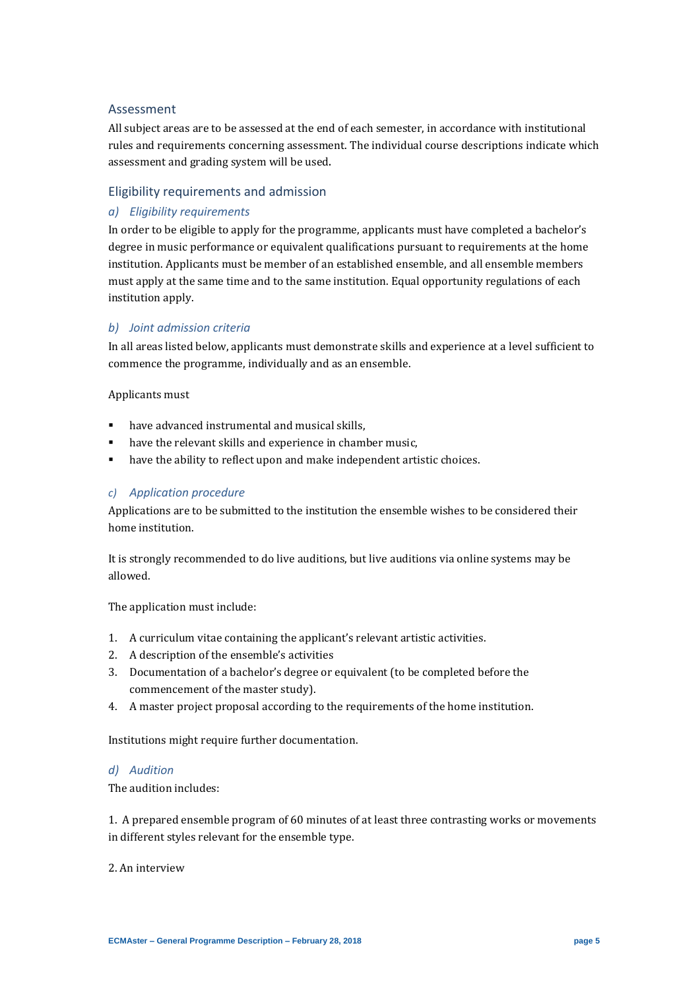#### Assessment

All subject areas are to be assessed at the end of each semester, in accordance with institutional rules and requirements concerning assessment. The individual course descriptions indicate which assessment and grading system will be used.

### Eligibility requirements and admission

# *a) Eligibility requirements*

In order to be eligible to apply for the programme, applicants must have completed a bachelor's degree in music performance or equivalent qualifications pursuant to requirements at the home institution. Applicants must be member of an established ensemble, and all ensemble members must apply at the same time and to the same institution. Equal opportunity regulations of each institution apply.

#### *b) Joint admission criteria*

In all areas listed below, applicants must demonstrate skills and experience at a level sufficient to commence the programme, individually and as an ensemble.

Applicants must

- have advanced instrumental and musical skills,
- have the relevant skills and experience in chamber music,
- have the ability to reflect upon and make independent artistic choices.

#### *c) Application procedure*

Applications are to be submitted to the institution the ensemble wishes to be considered their home institution.

It is strongly recommended to do live auditions, but live auditions via online systems may be allowed.

The application must include:

- 1. A curriculum vitae containing the applicant's relevant artistic activities.
- 2. A description of the ensemble's activities
- 3. Documentation of a bachelor's degree or equivalent (to be completed before the commencement of the master study).
- 4. A master project proposal according to the requirements of the home institution.

Institutions might require further documentation.

#### *d) Audition*

The audition includes:

1. A prepared ensemble program of 60 minutes of at least three contrasting works or movements in different styles relevant for the ensemble type.

2. An interview